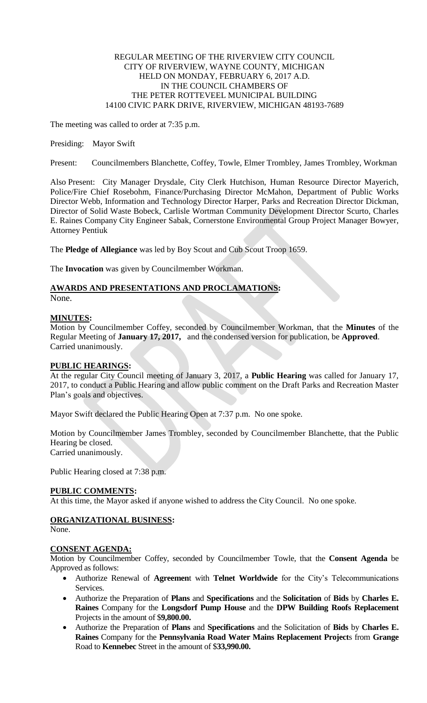### REGULAR MEETING OF THE RIVERVIEW CITY COUNCIL CITY OF RIVERVIEW, WAYNE COUNTY, MICHIGAN HELD ON MONDAY, FEBRUARY 6, 2017 A.D. IN THE COUNCIL CHAMBERS OF THE PETER ROTTEVEEL MUNICIPAL BUILDING 14100 CIVIC PARK DRIVE, RIVERVIEW, MICHIGAN 48193-7689

The meeting was called to order at 7:35 p.m.

### Presiding: Mayor Swift

Present: Councilmembers Blanchette, Coffey, Towle, Elmer Trombley, James Trombley, Workman

Also Present: City Manager Drysdale, City Clerk Hutchison, Human Resource Director Mayerich, Police/Fire Chief Rosebohm, Finance/Purchasing Director McMahon, Department of Public Works Director Webb, Information and Technology Director Harper, Parks and Recreation Director Dickman, Director of Solid Waste Bobeck, Carlisle Wortman Community Development Director Scurto, Charles E. Raines Company City Engineer Sabak, Cornerstone Environmental Group Project Manager Bowyer, Attorney Pentiuk

The **Pledge of Allegiance** was led by Boy Scout and Cub Scout Troop 1659.

The **Invocation** was given by Councilmember Workman.

# **AWARDS AND PRESENTATIONS AND PROCLAMATIONS:**

None.

## **MINUTES:**

Motion by Councilmember Coffey, seconded by Councilmember Workman, that the **Minutes** of the Regular Meeting of **January 17, 2017,** and the condensed version for publication, be **Approved**. Carried unanimously.

## **PUBLIC HEARINGS:**

At the regular City Council meeting of January 3, 2017, a **Public Hearing** was called for January 17, 2017, to conduct a Public Hearing and allow public comment on the Draft Parks and Recreation Master Plan's goals and objectives.

Mayor Swift declared the Public Hearing Open at 7:37 p.m. No one spoke.

Motion by Councilmember James Trombley, seconded by Councilmember Blanchette, that the Public Hearing be closed. Carried unanimously.

Public Hearing closed at 7:38 p.m.

## **PUBLIC COMMENTS:**

At this time, the Mayor asked if anyone wished to address the City Council. No one spoke.

## **ORGANIZATIONAL BUSINESS:**

None.

## **CONSENT AGENDA:**

Motion by Councilmember Coffey, seconded by Councilmember Towle, that the **Consent Agenda** be Approved as follows:

- Authorize Renewal of **Agreemen**t with **Telnet Worldwide** for the City's Telecommunications Services.
- Authorize the Preparation of **Plans** and **Specifications** and the **Solicitation** of **Bids** by **Charles E. Raines** Company for the **Longsdorf Pump House** and the **DPW Building Roofs Replacement** Projects in the amount of \$**9,800.00.**
- Authorize the Preparation of **Plans** and **Specifications** and the Solicitation of **Bids** by **Charles E. Raines** Company for the **Pennsylvania Road Water Mains Replacement Project**s from **Grange** Road to **Kennebec** Street in the amount of \$**33,990.00.**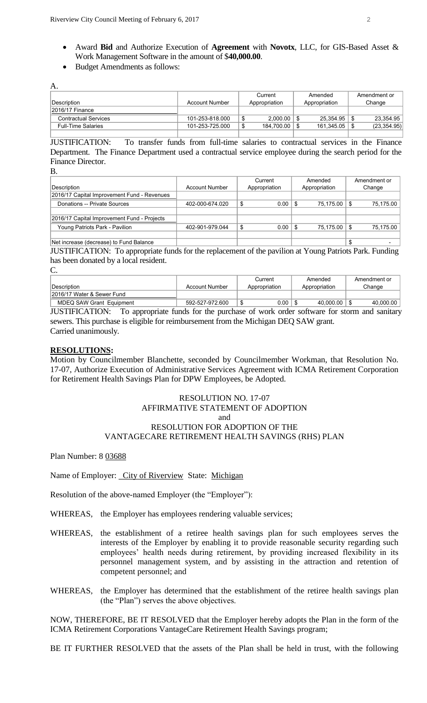- Award **Bid** and Authorize Execution of **Agreement** with **Novotx**, LLC, for GIS-Based Asset & Work Management Software in the amount of \$**40,000.00**.
- Budget Amendments as follows:

| А.                          |                 |                 |               |              |
|-----------------------------|-----------------|-----------------|---------------|--------------|
|                             |                 | Current         | Amended       | Amendment or |
| Description                 | Account Number  | Appropriation   | Appropriation | Change       |
| 12016/17 Finance            |                 |                 |               |              |
| <b>Contractual Services</b> | 101-253-818.000 | $2.000.00$   \$ | 25.354.95     | 23.354.95    |
| <b>Full-Time Salaries</b>   | 101-253-725.000 | 184,700.00 \ \$ | 161,345.05    | (23, 354.95) |
|                             |                 |                 |               |              |

JUSTIFICATION: To transfer funds from full-time salaries to contractual services in the Finance Department. The Finance Department used a contractual service employee during the search period for the Finance Director.

B.

|                                             |                 | Current       | Amended              | Amendment or |
|---------------------------------------------|-----------------|---------------|----------------------|--------------|
| Description                                 | Account Number  | Appropriation | Appropriation        | Change       |
| 2016/17 Capital Improvement Fund - Revenues |                 |               |                      |              |
| Donations -- Private Sources                | 402-000-674.020 | 0.00          | 75.175.00<br>- 5     | 75,175.00    |
|                                             |                 |               |                      |              |
| 2016/17 Capital Improvement Fund - Projects |                 |               |                      |              |
| Young Patriots Park - Pavilion              | 402-901-979.044 | 0.00<br>\$    | 75,175.00 \\$<br>- 5 | 75.175.00    |
|                                             |                 |               |                      |              |
| Net increase (decrease) to Fund Balance     |                 |               |                      |              |

JUSTIFICATION: To appropriate funds for the replacement of the pavilion at Young Patriots Park. Funding has been donated by a local resident.

 $C_{\cdot}$ 

| <i><b>IDescription</b></i>      | Account Number  | Current<br>Appropriation | Amended<br>Appropriation | Amendment or<br>Change |
|---------------------------------|-----------------|--------------------------|--------------------------|------------------------|
| 12016/17 Water & Sewer Fund     |                 |                          |                          |                        |
| <b>MDEQ SAW Grant Equipment</b> | 592-527-972.600 | 0.00                     | 40.000.00                | 40.000.00              |

JUSTIFICATION: To appropriate funds for the purchase of work order software for storm and sanitary sewers. This purchase is eligible for reimbursement from the Michigan DEQ SAW grant. Carried unanimously.

#### **RESOLUTIONS:**

Motion by Councilmember Blanchette, seconded by Councilmember Workman, that Resolution No. 17-07, Authorize Execution of Administrative Services Agreement with ICMA Retirement Corporation for Retirement Health Savings Plan for DPW Employees, be Adopted.

#### RESOLUTION NO. 17-07 AFFIRMATIVE STATEMENT OF ADOPTION and RESOLUTION FOR ADOPTION OF THE VANTAGECARE RETIREMENT HEALTH SAVINGS (RHS) PLAN

Plan Number: 8 03688

Name of Employer: City of Riverview State: Michigan

Resolution of the above-named Employer (the "Employer"):

- WHEREAS, the Employer has employees rendering valuable services;
- WHEREAS, the establishment of a retiree health savings plan for such employees serves the interests of the Employer by enabling it to provide reasonable security regarding such employees' health needs during retirement, by providing increased flexibility in its personnel management system, and by assisting in the attraction and retention of competent personnel; and
- WHEREAS, the Employer has determined that the establishment of the retiree health savings plan (the "Plan") serves the above objectives.

NOW, THEREFORE, BE IT RESOLVED that the Employer hereby adopts the Plan in the form of the ICMA Retirement Corporations VantageCare Retirement Health Savings program;

BE IT FURTHER RESOLVED that the assets of the Plan shall be held in trust, with the following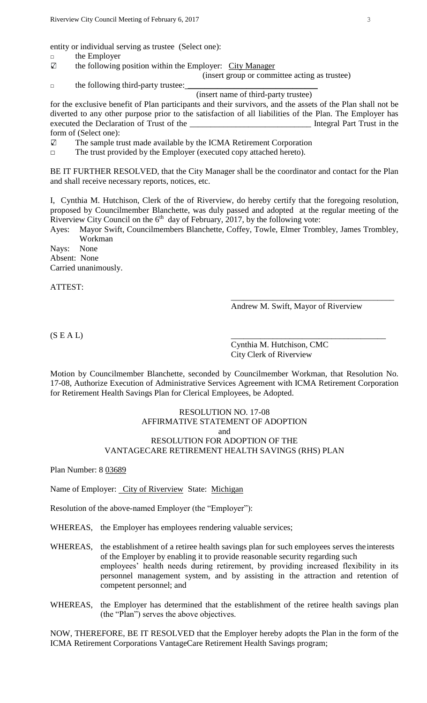entity or individual serving as trustee (Select one): □ the Employer

 $\sqrt{ }$ the following position within the Employer: City Manager (insert group or committee acting as trustee)

 $\Box$  the following third-party trustee:

(insert name of third-party trustee)

for the exclusive benefit of Plan participants and their survivors, and the assets of the Plan shall not be diverted to any other purpose prior to the satisfaction of all liabilities of the Plan. The Employer has executed the Declaration of Trust of the <u>contract of the securities</u> in the securities of the securities of the securities of the securities of the securities of the securities of the securities of the securities of the s form of (Select one):

 $\sqrt{ }$ The sample trust made available by the ICMA Retirement Corporation

□ The trust provided by the Employer (executed copy attached hereto).

BE IT FURTHER RESOLVED, that the City Manager shall be the coordinator and contact for the Plan and shall receive necessary reports, notices, etc.

I, Cynthia M. Hutchison, Clerk of the of Riverview, do hereby certify that the foregoing resolution, proposed by Councilmember Blanchette, was duly passed and adopted at the regular meeting of the Riverview City Council on the  $6<sup>th</sup>$  day of February, 2017, by the following vote:

Ayes: Mayor Swift, Councilmembers Blanchette, Coffey, Towle, Elmer Trombley, James Trombley, Workman

Nays: None Absent: None Carried unanimously.

ATTEST:

Andrew M. Swift, Mayor of Riverview

\_\_\_\_\_\_\_\_\_\_\_\_\_\_\_\_\_\_\_\_\_\_\_\_\_\_\_\_\_\_\_\_\_\_\_\_\_\_\_

 $(S E A L)$ 

Cynthia M. Hutchison, CMC City Clerk of Riverview

Motion by Councilmember Blanchette, seconded by Councilmember Workman, that Resolution No. 17-08, Authorize Execution of Administrative Services Agreement with ICMA Retirement Corporation for Retirement Health Savings Plan for Clerical Employees, be Adopted.

### RESOLUTION NO. 17-08 AFFIRMATIVE STATEMENT OF ADOPTION and RESOLUTION FOR ADOPTION OF THE VANTAGECARE RETIREMENT HEALTH SAVINGS (RHS) PLAN

Plan Number: 8 03689

Name of Employer: City of Riverview State: Michigan

Resolution of the above-named Employer (the "Employer"):

WHEREAS, the Employer has employees rendering valuable services;

WHEREAS, the establishment of a retiree health savings plan for such employees serves the interests of the Employer by enabling it to provide reasonable security regarding such employees' health needs during retirement, by providing increased flexibility in its personnel management system, and by assisting in the attraction and retention of competent personnel; and

WHEREAS, the Employer has determined that the establishment of the retiree health savings plan (the "Plan") serves the above objectives.

NOW, THEREFORE, BE IT RESOLVED that the Employer hereby adopts the Plan in the form of the ICMA Retirement Corporations VantageCare Retirement Health Savings program;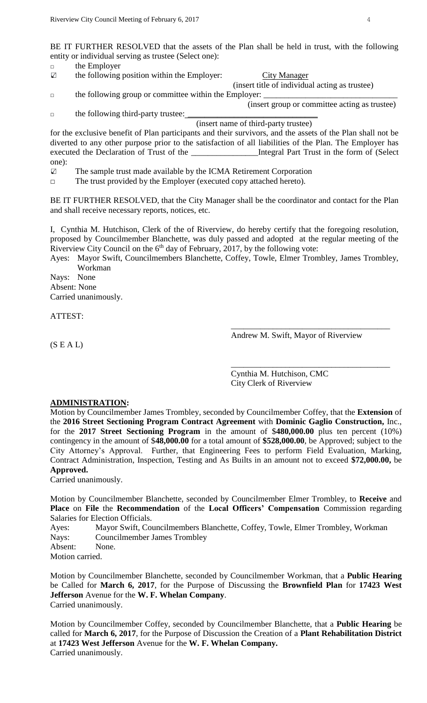BE IT FURTHER RESOLVED that the assets of the Plan shall be held in trust, with the following entity or individual serving as trustee (Select one):

- □ the Employer
- $\triangledown$ the following position within the Employer: City Manager
- (insert title of individual acting as trustee)  $\Box$  the following group or committee within the Employer:
- □ the following third-party trustee:

(insert name of third-party trustee)

for the exclusive benefit of Plan participants and their survivors, and the assets of the Plan shall not be diverted to any other purpose prior to the satisfaction of all liabilities of the Plan. The Employer has executed the Declaration of Trust of the \_\_\_\_\_\_\_\_\_\_\_\_\_\_\_\_\_\_\_Integral Part Trust in the form of (Select one):

The sample trust made available by the ICMA Retirement Corporation  $\sqrt{ }$ 

□ The trust provided by the Employer (executed copy attached hereto).

BE IT FURTHER RESOLVED, that the City Manager shall be the coordinator and contact for the Plan and shall receive necessary reports, notices, etc.

I, Cynthia M. Hutchison, Clerk of the of Riverview, do hereby certify that the foregoing resolution, proposed by Councilmember Blanchette, was duly passed and adopted at the regular meeting of the Riverview City Council on the 6<sup>th</sup> day of February, 2017, by the following vote:

Ayes: Mayor Swift, Councilmembers Blanchette, Coffey, Towle, Elmer Trombley, James Trombley, Workman

Nays: None Absent: None Carried unanimously.

ATTEST:

Andrew M. Swift, Mayor of Riverview

\_\_\_\_\_\_\_\_\_\_\_\_\_\_\_\_\_\_\_\_\_\_\_\_\_\_\_\_\_\_\_\_\_\_\_\_\_\_

\_\_\_\_\_\_\_\_\_\_\_\_\_\_\_\_\_\_\_\_\_\_\_\_\_\_\_\_\_\_\_\_\_\_\_\_\_\_

 $(S E A L)$ 

Cynthia M. Hutchison, CMC City Clerk of Riverview

#### **ADMINISTRATION:**

Motion by Councilmember James Trombley, seconded by Councilmember Coffey, that the **Extension** of the **2016 Street Sectioning Program Contract Agreement** with **Dominic Gaglio Construction,** Inc., for the **2017 Street Sectioning Program** in the amount of \$**480,000.00** plus ten percent (10%) contingency in the amount of \$**48,000.00** for a total amount of **\$528,000.00**, be Approved; subject to the City Attorney's Approval. Further, that Engineering Fees to perform Field Evaluation, Marking, Contract Administration, Inspection, Testing and As Builts in an amount not to exceed **\$72,000.00,** be **Approved.**

Carried unanimously.

Motion by Councilmember Blanchette, seconded by Councilmember Elmer Trombley, to **Receive** and **Place** on **File** the **Recommendation** of the **Local Officers' Compensation** Commission regarding Salaries for Election Officials.

Ayes: Mayor Swift, Councilmembers Blanchette, Coffey, Towle, Elmer Trombley, Workman Nays: Councilmember James Trombley Absent: None.

Motion carried.

Motion by Councilmember Blanchette, seconded by Councilmember Workman, that a **Public Hearing** be Called for **March 6, 2017**, for the Purpose of Discussing the **Brownfield Plan** for **17423 West Jefferson** Avenue for the **W. F. Whelan Company**. Carried unanimously.

Motion by Councilmember Coffey, seconded by Councilmember Blanchette, that a **Public Hearing** be called for **March 6, 2017**, for the Purpose of Discussion the Creation of a **Plant Rehabilitation District** at **17423 West Jefferson** Avenue for the **W. F. Whelan Company.** Carried unanimously.

(insert group or committee acting as trustee)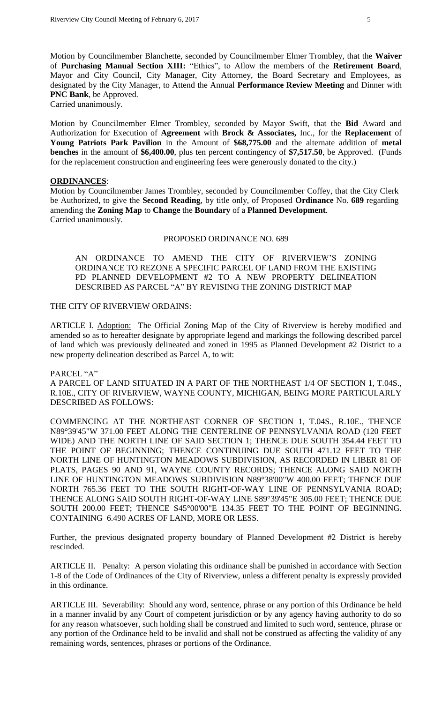Motion by Councilmember Blanchette, seconded by Councilmember Elmer Trombley, that the **Waiver** of **Purchasing Manual Section XIII:** "Ethics", to Allow the members of the **Retirement Board**, Mayor and City Council, City Manager, City Attorney, the Board Secretary and Employees, as designated by the City Manager, to Attend the Annual **Performance Review Meeting** and Dinner with **PNC Bank**, be Approved.

Carried unanimously.

Motion by Councilmember Elmer Trombley, seconded by Mayor Swift, that the **Bid** Award and Authorization for Execution of **Agreement** with **Brock & Associates,** Inc., for the **Replacement** of **Young Patriots Park Pavilion** in the Amount of **\$68,775.00** and the alternate addition of **metal benches** in the amount of **\$6,400.00**, plus ten percent contingency of **\$7,517.50**, be Approved. (Funds for the replacement construction and engineering fees were generously donated to the city.)

### **ORDINANCES**:

Motion by Councilmember James Trombley, seconded by Councilmember Coffey, that the City Clerk be Authorized, to give the **Second Reading**, by title only, of Proposed **Ordinance** No. **689** regarding amending the **Zoning Map** to **Change** the **Boundary** of a **Planned Development**. Carried unanimously.

#### PROPOSED ORDINANCE NO. 689

AN ORDINANCE TO AMEND THE CITY OF RIVERVIEW'S ZONING ORDINANCE TO REZONE A SPECIFIC PARCEL OF LAND FROM THE EXISTING PD PLANNED DEVELOPMENT #2 TO A NEW PROPERTY DELINEATION DESCRIBED AS PARCEL "A" BY REVISING THE ZONING DISTRICT MAP

### THE CITY OF RIVERVIEW ORDAINS:

ARTICLE I. Adoption: The Official Zoning Map of the City of Riverview is hereby modified and amended so as to hereafter designate by appropriate legend and markings the following described parcel of land which was previously delineated and zoned in 1995 as Planned Development #2 District to a new property delineation described as Parcel A, to wit:

PARCEL "A"

A PARCEL OF LAND SITUATED IN A PART OF THE NORTHEAST 1/4 OF SECTION 1, T.04S., R.10E., CITY OF RIVERVIEW, WAYNE COUNTY, MICHIGAN, BEING MORE PARTICULARLY DESCRIBED AS FOLLOWS:

COMMENCING AT THE NORTHEAST CORNER OF SECTION 1, T.04S., R.10E., THENCE N89°39'45"W 371.00 FEET ALONG THE CENTERLINE OF PENNSYLVANIA ROAD (120 FEET WIDE) AND THE NORTH LINE OF SAID SECTION 1; THENCE DUE SOUTH 354.44 FEET TO THE POINT OF BEGINNING; THENCE CONTINUING DUE SOUTH 471.12 FEET TO THE NORTH LINE OF HUNTINGTON MEADOWS SUBDIVISION, AS RECORDED IN LIBER 81 OF PLATS, PAGES 90 AND 91, WAYNE COUNTY RECORDS; THENCE ALONG SAID NORTH LINE OF HUNTINGTON MEADOWS SUBDIVISION N89°38'00"W 400.00 FEET; THENCE DUE NORTH 765.36 FEET TO THE SOUTH RIGHT-OF-WAY LINE OF PENNSYLVANIA ROAD; THENCE ALONG SAID SOUTH RIGHT-OF-WAY LINE S89°39'45"E 305.00 FEET; THENCE DUE SOUTH 200.00 FEET; THENCE S45°00'00"E 134.35 FEET TO THE POINT OF BEGINNING. CONTAINING 6.490 ACRES OF LAND, MORE OR LESS.

Further, the previous designated property boundary of Planned Development #2 District is hereby rescinded.

ARTICLE II. Penalty: A person violating this ordinance shall be punished in accordance with Section 1-8 of the Code of Ordinances of the City of Riverview, unless a different penalty is expressly provided in this ordinance.

ARTICLE III. Severability: Should any word, sentence, phrase or any portion of this Ordinance be held in a manner invalid by any Court of competent jurisdiction or by any agency having authority to do so for any reason whatsoever, such holding shall be construed and limited to such word, sentence, phrase or any portion of the Ordinance held to be invalid and shall not be construed as affecting the validity of any remaining words, sentences, phrases or portions of the Ordinance.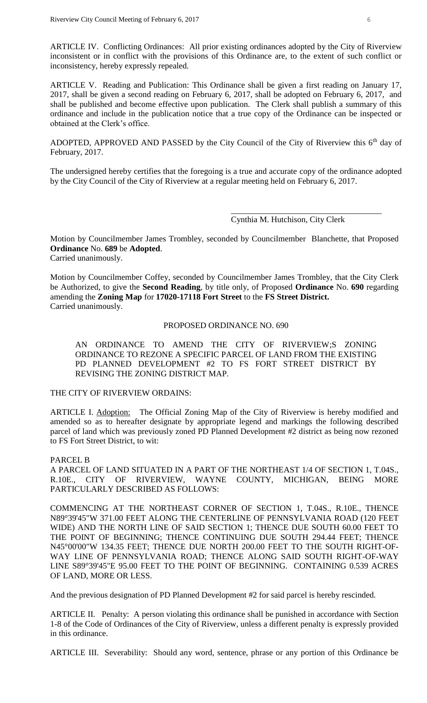ARTICLE IV. Conflicting Ordinances: All prior existing ordinances adopted by the City of Riverview inconsistent or in conflict with the provisions of this Ordinance are, to the extent of such conflict or inconsistency, hereby expressly repealed.

ARTICLE V. Reading and Publication: This Ordinance shall be given a first reading on January 17, 2017, shall be given a second reading on February 6, 2017, shall be adopted on February 6, 2017, and shall be published and become effective upon publication. The Clerk shall publish a summary of this ordinance and include in the publication notice that a true copy of the Ordinance can be inspected or obtained at the Clerk's office.

ADOPTED, APPROVED AND PASSED by the City Council of the City of Riverview this  $6<sup>th</sup>$  day of February, 2017.

The undersigned hereby certifies that the foregoing is a true and accurate copy of the ordinance adopted by the City Council of the City of Riverview at a regular meeting held on February 6, 2017.

Cynthia M. Hutchison, City Clerk

\_\_\_\_\_\_\_\_\_\_\_\_\_\_\_\_\_\_\_\_\_\_\_\_\_\_\_\_\_\_\_\_\_\_\_\_

Motion by Councilmember James Trombley, seconded by Councilmember Blanchette, that Proposed **Ordinance** No. **689** be **Adopted**.

Carried unanimously.

Motion by Councilmember Coffey, seconded by Councilmember James Trombley, that the City Clerk be Authorized, to give the **Second Reading**, by title only, of Proposed **Ordinance** No. **690** regarding amending the **Zoning Map** for **17020-17118 Fort Street** to the **FS Street District.** Carried unanimously.

#### PROPOSED ORDINANCE NO. 690

AN ORDINANCE TO AMEND THE CITY OF RIVERVIEW;S ZONING ORDINANCE TO REZONE A SPECIFIC PARCEL OF LAND FROM THE EXISTING PD PLANNED DEVELOPMENT #2 TO FS FORT STREET DISTRICT BY REVISING THE ZONING DISTRICT MAP.

### THE CITY OF RIVERVIEW ORDAINS:

ARTICLE I. Adoption: The Official Zoning Map of the City of Riverview is hereby modified and amended so as to hereafter designate by appropriate legend and markings the following described parcel of land which was previously zoned PD Planned Development #2 district as being now rezoned to FS Fort Street District, to wit:

#### PARCEL B

A PARCEL OF LAND SITUATED IN A PART OF THE NORTHEAST 1/4 OF SECTION 1, T.04S., R.10E., CITY OF RIVERVIEW, WAYNE COUNTY, MICHIGAN, BEING MORE PARTICULARLY DESCRIBED AS FOLLOWS:

COMMENCING AT THE NORTHEAST CORNER OF SECTION 1, T.04S., R.10E., THENCE N89°39'45"W 371.00 FEET ALONG THE CENTERLINE OF PENNSYLVANIA ROAD (120 FEET WIDE) AND THE NORTH LINE OF SAID SECTION 1; THENCE DUE SOUTH 60.00 FEET TO THE POINT OF BEGINNING; THENCE CONTINUING DUE SOUTH 294.44 FEET; THENCE N45°00'00"W 134.35 FEET; THENCE DUE NORTH 200.00 FEET TO THE SOUTH RIGHT-OF-WAY LINE OF PENNSYLVANIA ROAD; THENCE ALONG SAID SOUTH RIGHT-OF-WAY LINE S89°39'45"E 95.00 FEET TO THE POINT OF BEGINNING. CONTAINING 0.539 ACRES OF LAND, MORE OR LESS.

And the previous designation of PD Planned Development #2 for said parcel is hereby rescinded.

ARTICLE II. Penalty: A person violating this ordinance shall be punished in accordance with Section 1-8 of the Code of Ordinances of the City of Riverview, unless a different penalty is expressly provided in this ordinance.

ARTICLE III. Severability: Should any word, sentence, phrase or any portion of this Ordinance be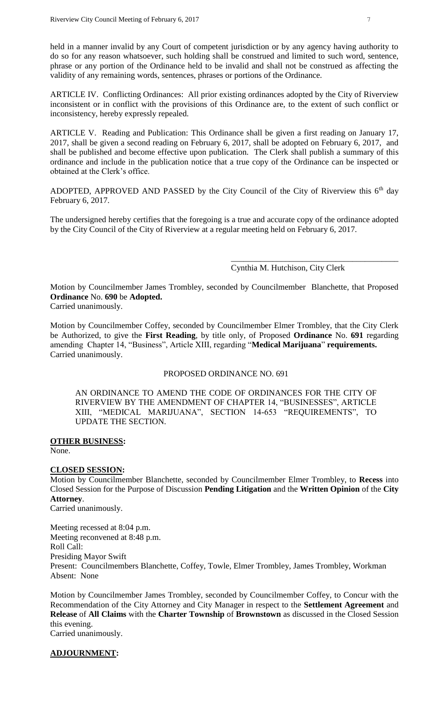held in a manner invalid by any Court of competent jurisdiction or by any agency having authority to do so for any reason whatsoever, such holding shall be construed and limited to such word, sentence, phrase or any portion of the Ordinance held to be invalid and shall not be construed as affecting the validity of any remaining words, sentences, phrases or portions of the Ordinance.

ARTICLE IV. Conflicting Ordinances: All prior existing ordinances adopted by the City of Riverview inconsistent or in conflict with the provisions of this Ordinance are, to the extent of such conflict or inconsistency, hereby expressly repealed.

ARTICLE V. Reading and Publication: This Ordinance shall be given a first reading on January 17, 2017, shall be given a second reading on February 6, 2017, shall be adopted on February 6, 2017, and shall be published and become effective upon publication. The Clerk shall publish a summary of this ordinance and include in the publication notice that a true copy of the Ordinance can be inspected or obtained at the Clerk's office.

ADOPTED, APPROVED AND PASSED by the City Council of the City of Riverview this  $6<sup>th</sup>$  day February 6, 2017.

The undersigned hereby certifies that the foregoing is a true and accurate copy of the ordinance adopted by the City Council of the City of Riverview at a regular meeting held on February 6, 2017.

#### Cynthia M. Hutchison, City Clerk

\_\_\_\_\_\_\_\_\_\_\_\_\_\_\_\_\_\_\_\_\_\_\_\_\_\_\_\_\_\_\_\_\_\_\_\_\_\_\_\_

Motion by Councilmember James Trombley, seconded by Councilmember Blanchette, that Proposed **Ordinance** No. **690** be **Adopted.**

Carried unanimously.

Motion by Councilmember Coffey, seconded by Councilmember Elmer Trombley, that the City Clerk be Authorized, to give the **First Reading**, by title only, of Proposed **Ordinance** No. **691** regarding amending Chapter 14, "Business", Article XIII, regarding "**Medical Marijuana**" **requirements.** Carried unanimously.

## PROPOSED ORDINANCE NO. 691

AN ORDINANCE TO AMEND THE CODE OF ORDINANCES FOR THE CITY OF RIVERVIEW BY THE AMENDMENT OF CHAPTER 14, "BUSINESSES", ARTICLE XIII, "MEDICAL MARIJUANA", SECTION 14-653 "REQUIREMENTS", TO UPDATE THE SECTION.

#### **OTHER BUSINESS:**

None.

#### **CLOSED SESSION:**

Motion by Councilmember Blanchette, seconded by Councilmember Elmer Trombley, to **Recess** into Closed Session for the Purpose of Discussion **Pending Litigation** and the **Written Opinion** of the **City Attorney**.

Carried unanimously.

Meeting recessed at 8:04 p.m. Meeting reconvened at 8:48 p.m. Roll Call: Presiding Mayor Swift Present: Councilmembers Blanchette, Coffey, Towle, Elmer Trombley, James Trombley, Workman Absent: None

Motion by Councilmember James Trombley, seconded by Councilmember Coffey, to Concur with the Recommendation of the City Attorney and City Manager in respect to the **Settlement Agreement** and **Release** of **All Claims** with the **Charter Township** of **Brownstown** as discussed in the Closed Session this evening. Carried unanimously.

#### **ADJOURNMENT:**